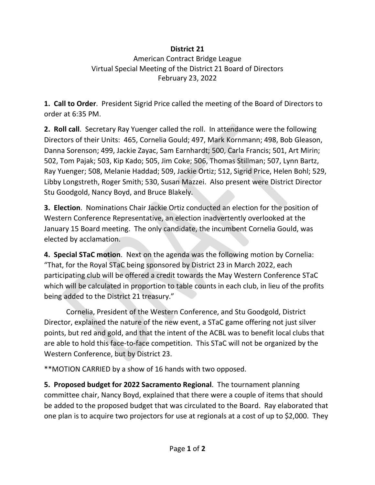## **District 21**

## American Contract Bridge League Virtual Special Meeting of the District 21 Board of Directors February 23, 2022

**1. Call to Order**. President Sigrid Price called the meeting of the Board of Directors to order at 6:35 PM.

**2. Roll call**. Secretary Ray Yuenger called the roll. In attendance were the following Directors of their Units: 465, Cornelia Gould; 497, Mark Kornmann; 498, Bob Gleason, Danna Sorenson; 499, Jackie Zayac, Sam Earnhardt; 500, Carla Francis; 501, Art Mirin; 502, Tom Pajak; 503, Kip Kado; 505, Jim Coke; 506, Thomas Stillman; 507, Lynn Bartz, Ray Yuenger; 508, Melanie Haddad; 509, Jackie Ortiz; 512, Sigrid Price, Helen Bohl; 529, Libby Longstreth, Roger Smith; 530, Susan Mazzei. Also present were District Director Stu Goodgold, Nancy Boyd, and Bruce Blakely.

**3. Election**. Nominations Chair Jackie Ortiz conducted an election for the position of Western Conference Representative, an election inadvertently overlooked at the January 15 Board meeting. The only candidate, the incumbent Cornelia Gould, was elected by acclamation.

**4. Special STaC motion**. Next on the agenda was the following motion by Cornelia: "That, for the Royal STaC being sponsored by District 23 in March 2022, each participating club will be offered a credit towards the May Western Conference STaC which will be calculated in proportion to table counts in each club, in lieu of the profits being added to the District 21 treasury."

Cornelia, President of the Western Conference, and Stu Goodgold, District Director, explained the nature of the new event, a STaC game offering not just silver points, but red and gold, and that the intent of the ACBL was to benefit local clubs that are able to hold this face-to-face competition. This STaC will not be organized by the Western Conference, but by District 23.

\*\*MOTION CARRIED by a show of 16 hands with two opposed.

**5. Proposed budget for 2022 Sacramento Regional**. The tournament planning committee chair, Nancy Boyd, explained that there were a couple of items that should be added to the proposed budget that was circulated to the Board. Ray elaborated that one plan is to acquire two projectors for use at regionals at a cost of up to \$2,000. They